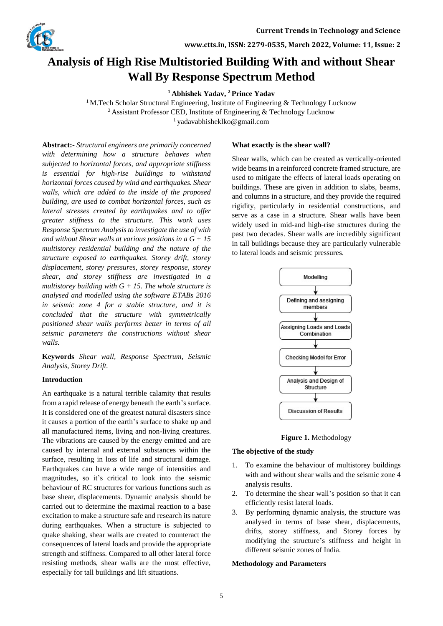

**www.ctts.in, ISSN: 2279-0535, March 2022, Volume: 11, Issue: 2**

# **Analysis of High Rise Multistoried Building With and without Shear Wall By Response Spectrum Method**

**<sup>1</sup> Abhishek Yadav, <sup>2</sup> Prince Yadav**

<sup>1</sup> M.Tech Scholar Structural Engineering, Institute of Engineering & Technology Lucknow <sup>2</sup> Assistant Professor CED, Institute of Engineering  $\&$  Technology Lucknow <sup>1</sup>yadavabhisheklko@gmail.com

**Abstract:-** *Structural engineers are primarily concerned with determining how a structure behaves when subjected to horizontal forces, and appropriate stiffness is essential for high-rise buildings to withstand horizontal forces caused by wind and earthquakes. Shear walls, which are added to the inside of the proposed building, are used to combat horizontal forces, such as lateral stresses created by earthquakes and to offer greater stiffness to the structure. This work uses Response Spectrum Analysis to investigate the use of with and without Shear walls at various positions in a G + 15 multistorey residential building and the nature of the structure exposed to earthquakes. Storey drift, storey displacement, storey pressures, storey response, storey shear, and storey stiffness are investigated in a multistorey building with G + 15. The whole structure is analysed and modelled using the software ETABs 2016 in seismic zone 4 for a stable structure, and it is concluded that the structure with symmetrically positioned shear walls performs better in terms of all seismic parameters the constructions without shear walls.*

**Keywords** *Shear wall, Response Spectrum, Seismic Analysis, Storey Drift.*

## **Introduction**

An earthquake is a natural terrible calamity that results from a rapid release of energy beneath the earth's surface. It is considered one of the greatest natural disasters since it causes a portion of the earth's surface to shake up and all manufactured items, living and non-living creatures. The vibrations are caused by the energy emitted and are caused by internal and external substances within the surface, resulting in loss of life and structural damage. Earthquakes can have a wide range of intensities and magnitudes, so it's critical to look into the seismic behaviour of RC structures for various functions such as base shear, displacements. Dynamic analysis should be carried out to determine the maximal reaction to a base excitation to make a structure safe and research its nature during earthquakes. When a structure is subjected to quake shaking, shear walls are created to counteract the consequences of lateral loads and provide the appropriate strength and stiffness. Compared to all other lateral force resisting methods, shear walls are the most effective, especially for tall buildings and lift situations.

## **What exactly is the shear wall?**

Shear walls, which can be created as vertically-oriented wide beams in a reinforced concrete framed structure, are used to mitigate the effects of lateral loads operating on buildings. These are given in addition to slabs, beams, and columns in a structure, and they provide the required rigidity, particularly in residential constructions, and serve as a case in a structure. Shear walls have been widely used in mid-and high-rise structures during the past two decades. Shear walls are incredibly significant in tall buildings because they are particularly vulnerable to lateral loads and seismic pressures.





### **The objective of the study**

- 1. To examine the behaviour of multistorey buildings with and without shear walls and the seismic zone 4 analysis results.
- 2. To determine the shear wall's position so that it can efficiently resist lateral loads.
- 3. By performing dynamic analysis, the structure was analysed in terms of base shear, displacements, drifts, storey stiffness, and Storey forces by modifying the structure's stiffness and height in different seismic zones of India.

### **Methodology and Parameters**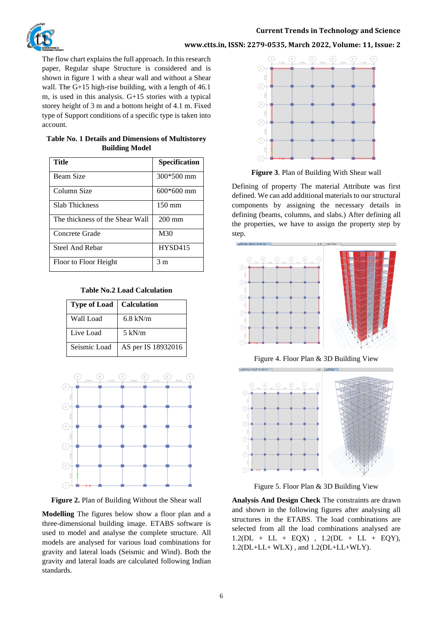# **www.ctts.in, ISSN: 2279-0535, March 2022, Volume: 11, Issue: 2**

The flow chart explains the full approach. In this research paper, Regular shape Structure is considered and is shown in figure 1 with a shear wall and without a Shear wall. The G+15 high-rise building, with a length of 46.1 m, is used in this analysis. G+15 stories with a typical storey height of 3 m and a bottom height of 4.1 m. Fixed type of Support conditions of a specific type is taken into account.

| Table No. 1 Details and Dimensions of Multistorey |
|---------------------------------------------------|
| <b>Building Model</b>                             |

| Title                           | Specification    |
|---------------------------------|------------------|
| <b>Beam Size</b>                | 300*500 mm       |
| Column Size                     | $600*600$ mm     |
| <b>Slab Thickness</b>           | $150 \text{ mm}$ |
| The thickness of the Shear Wall | $200 \text{ mm}$ |
| Concrete Grade                  | M30              |
| Steel And Rebar                 | <b>HYSD415</b>   |
| Floor to Floor Height           | 3 m              |

## **Table No.2 Load Calculation**

| <b>Type of Load</b> | <b>Calculation</b> |
|---------------------|--------------------|
| Wall Load           | 6.8 kN/m           |
| Live Load           | $5 \text{ kN/m}$   |
| Seismic Load        | AS per IS 18932016 |



**Figure 2.** Plan of Building Without the Shear wall

**Modelling** The figures below show a floor plan and a three-dimensional building image. ETABS software is used to model and analyse the complete structure. All models are analysed for various load combinations for gravity and lateral loads (Seismic and Wind). Both the gravity and lateral loads are calculated following Indian standards.



**Figure 3**. Plan of Building With Shear wall

Defining of property The material Attribute was first defined. We can add additional materials to our structural components by assigning the necessary details in defining (beams, columns, and slabs.) After defining all the properties, we have to assign the property step by step.



Figure 4. Floor Plan & 3D Building View



Figure 5. Floor Plan & 3D Building View

**Analysis And Design Check** The constraints are drawn and shown in the following figures after analysing all structures in the ETABS. The load combinations are selected from all the load combinations analysed are  $1.2(DL + LL + EQX)$ ,  $1.2(DL + LL + EQY)$ , 1.2(DL+LL+ WLX) , and 1.2(DL+LL+WLY).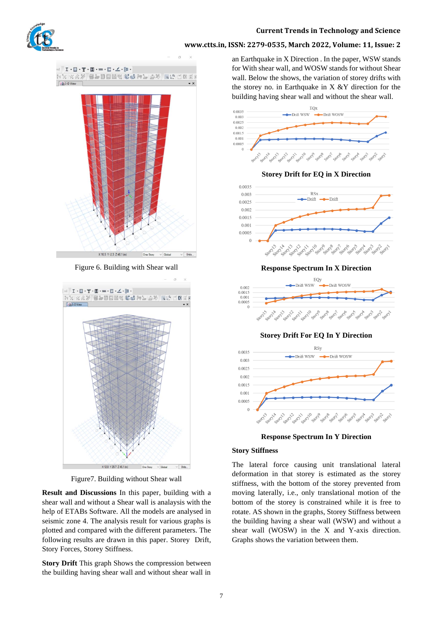

# **www.ctts.in, ISSN: 2279-0535, March 2022, Volume: 11, Issue: 2**



Figure 6. Building with Shear wall



Figure7. Building without Shear wall

**Result and Discussions** In this paper, building with a shear wall and without a Shear wall is analaysis with the help of ETABs Software. All the models are analysed in seismic zone 4. The analysis result for various graphs is plotted and compared with the different parameters. The following results are drawn in this paper. Storey Drift, Story Forces, Storey Stiffness.

**Story Drift** This graph Shows the compression between the building having shear wall and without shear wall in an Earthquake in X Direction . In the paper, WSW stands for With shear wall, and WOSW stands for without Shear wall. Below the shows, the variation of storey drifts with the storey no. in Earthquake in  $X \& Y$  direction for the building having shear wall and without the shear wall.



**Storey Drift for EQ in X Direction**



**Response Spectrum In X Direction**



**Storey Drift For EQ In Y Direction**



**Response Spectrum In Y Direction**

## **Story Stiffness**

The lateral force causing unit translational lateral deformation in that storey is estimated as the storey stiffness, with the bottom of the storey prevented from moving laterally, i.e., only translational motion of the bottom of the storey is constrained while it is free to rotate. AS shown in the graphs, Storey Stiffness between the building having a shear wall (WSW) and without a shear wall (WOSW) in the X and Y-axis direction. Graphs shows the variation between them.